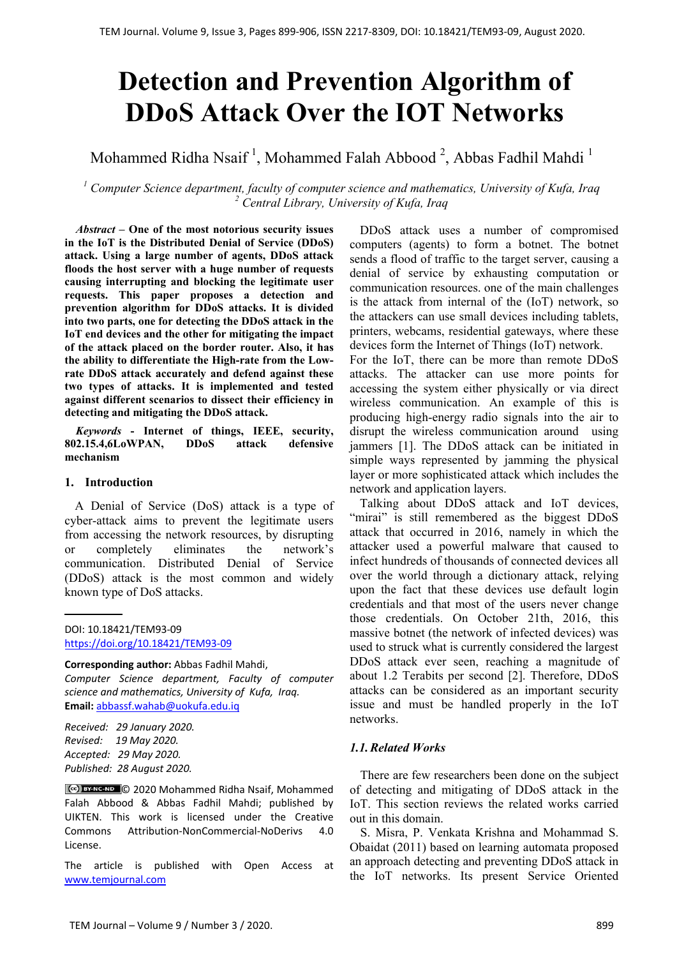# **Detection and Prevention Algorithm of DDoS Attack Over the IOT Networks**

Mohammed Ridha Nsaif  $^1$ , Mohammed Falah Abbood  $^2$ , Abbas Fadhil Mahdi  $^1$ 

*<sup>1</sup> Computer Science department, faculty of computer science and mathematics, University of Kufa, Iraq <sup>2</sup> Central Library, University of Kufa, Iraq*

*Abstract –* **One of the most notorious security issues in the IoT is the Distributed Denial of Service (DDoS) attack. Using a large number of agents, DDoS attack floods the host server with a huge number of requests causing interrupting and blocking the legitimate user requests. This paper proposes a detection and prevention algorithm for DDoS attacks. It is divided into two parts, one for detecting the DDoS attack in the IoT end devices and the other for mitigating the impact of the attack placed on the border router. Also, it has the ability to differentiate the High-rate from the Lowrate DDoS attack accurately and defend against these two types of attacks. It is implemented and tested against different scenarios to dissect their efficiency in detecting and mitigating the DDoS attack.**

*Keywords* **- Internet of things, IEEE, security, 802.15.4,6LoWPAN, DDoS attack defensive mechanism**

## **1. Introduction**

A Denial of Service (DoS) attack is a type of cyber-attack aims to prevent the legitimate users from accessing the network resources, by disrupting or completely eliminates the network's communication. Distributed Denial of Service (DDoS) attack is the most common and widely known type of DoS attacks.

#### **Corresponding author:** Abbas Fadhil Mahdi,

*Computer Science department, Faculty of computer science and mathematics, University of Kufa, Iraq.*  **Email:** abbassf.wahab@uokufa.edu.iq

*Received: 29 January 2020. Revised: 19 May 2020. Accepted: 29 May 2020. Published: 28 August 2020.* 

© 2020 Mohammed Ridha Nsaif, Mohammed Falah Abbood & Abbas Fadhil Mahdi; published by UIKTEN. This work is licensed under the Creative Commons Attribution‐NonCommercial‐NoDerivs 4.0 License.

The article is published with Open Access at www.temjournal.com

DDoS attack uses a number of compromised computers (agents) to form a botnet. The botnet sends a flood of traffic to the target server, causing a denial of service by exhausting computation or communication resources. one of the main challenges is the attack from internal of the (IoT) network, so the attackers can use small devices including tablets, printers, webcams, residential gateways, where these devices form the Internet of Things (IoT) network.

For the IoT, there can be more than remote DDoS attacks. The attacker can use more points for accessing the system either physically or via direct wireless communication. An example of this is producing high-energy radio signals into the air to disrupt the wireless communication around using jammers [1]. The DDoS attack can be initiated in simple ways represented by jamming the physical layer or more sophisticated attack which includes the network and application layers.

Talking about DDoS attack and IoT devices, "mirai" is still remembered as the biggest DDoS attack that occurred in 2016, namely in which the attacker used a powerful malware that caused to infect hundreds of thousands of connected devices all over the world through a dictionary attack, relying upon the fact that these devices use default login credentials and that most of the users never change those credentials. On October 21th, 2016, this massive botnet (the network of infected devices) was used to struck what is currently considered the largest DDoS attack ever seen, reaching a magnitude of about 1.2 Terabits per second [2]. Therefore, DDoS attacks can be considered as an important security issue and must be handled properly in the IoT networks.

# *1.1.Related Works*

There are few researchers been done on the subject of detecting and mitigating of DDoS attack in the IoT. This section reviews the related works carried out in this domain.

S. Misra, P. Venkata Krishna and Mohammad S. Obaidat (2011) based on learning automata proposed an approach detecting and preventing DDoS attack in the IoT networks. Its present Service Oriented

DOI: 10.18421/TEM93-09 https://doi.org/10.18421/TEM93-09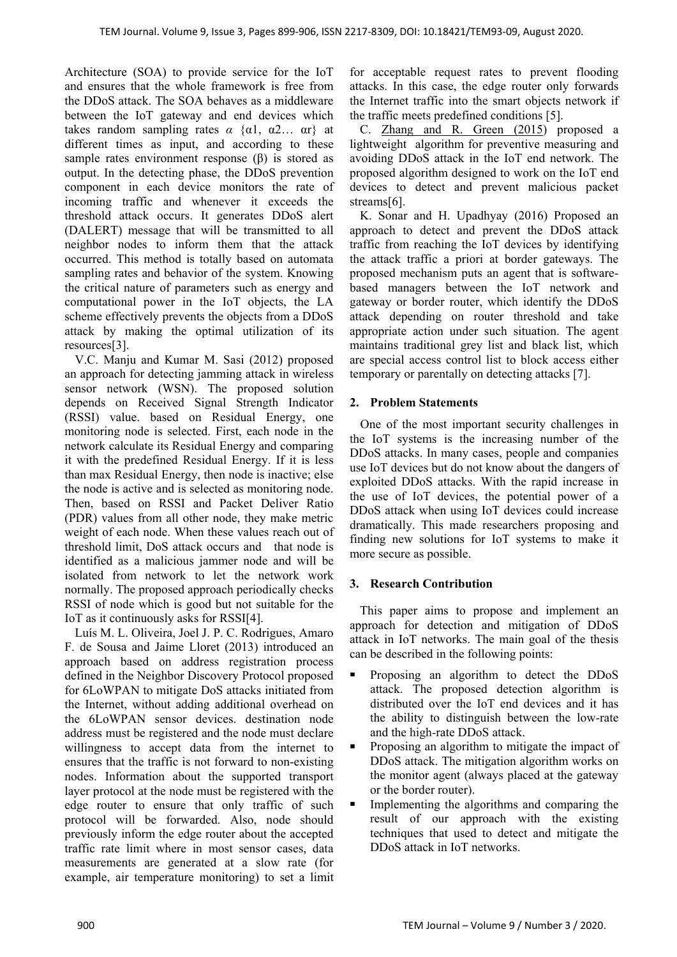Architecture (SOA) to provide service for the IoT and ensures that the whole framework is free from the DDoS attack. The SOA behaves as a middleware between the IoT gateway and end devices which takes random sampling rates  $\alpha$  { $\alpha$ 1,  $\alpha$ 2...  $\alpha$ r} at different times as input, and according to these sample rates environment response  $(\beta)$  is stored as output. In the detecting phase, the DDoS prevention component in each device monitors the rate of incoming traffic and whenever it exceeds the threshold attack occurs. It generates DDoS alert (DALERT) message that will be transmitted to all neighbor nodes to inform them that the attack occurred. This method is totally based on automata sampling rates and behavior of the system. Knowing the critical nature of parameters such as energy and computational power in the IoT objects, the LA scheme effectively prevents the objects from a DDoS attack by making the optimal utilization of its resources[3].

V.C. Manju and Kumar M. Sasi (2012) proposed an approach for detecting jamming attack in wireless sensor network (WSN). The proposed solution depends on Received Signal Strength Indicator (RSSI) value. based on Residual Energy, one monitoring node is selected. First, each node in the network calculate its Residual Energy and comparing it with the predefined Residual Energy. If it is less than max Residual Energy, then node is inactive; else the node is active and is selected as monitoring node. Then, based on RSSI and Packet Deliver Ratio (PDR) values from all other node, they make metric weight of each node. When these values reach out of threshold limit, DoS attack occurs and that node is identified as a malicious jammer node and will be isolated from network to let the network work normally. The proposed approach periodically checks RSSI of node which is good but not suitable for the IoT as it continuously asks for RSSI[4].

Luís M. L. Oliveira, Joel J. P. C. Rodrigues, Amaro F. de Sousa and Jaime Lloret (2013) introduced an approach based on address registration process defined in the Neighbor Discovery Protocol proposed for 6LoWPAN to mitigate DoS attacks initiated from the Internet, without adding additional overhead on the 6LoWPAN sensor devices. destination node address must be registered and the node must declare willingness to accept data from the internet to ensures that the traffic is not forward to non-existing nodes. Information about the supported transport layer protocol at the node must be registered with the edge router to ensure that only traffic of such protocol will be forwarded. Also, node should previously inform the edge router about the accepted traffic rate limit where in most sensor cases, data measurements are generated at a slow rate (for example, air temperature monitoring) to set a limit for acceptable request rates to prevent flooding attacks. In this case, the edge router only forwards the Internet traffic into the smart objects network if the traffic meets predefined conditions [5].

C. Zhang and R. Green (2015) proposed a lightweight algorithm for preventive measuring and avoiding DDoS attack in the IoT end network. The proposed algorithm designed to work on the IoT end devices to detect and prevent malicious packet streams[6].

K. Sonar and H. Upadhyay (2016) Proposed an approach to detect and prevent the DDoS attack traffic from reaching the IoT devices by identifying the attack traffic a priori at border gateways. The proposed mechanism puts an agent that is softwarebased managers between the IoT network and gateway or border router, which identify the DDoS attack depending on router threshold and take appropriate action under such situation. The agent maintains traditional grey list and black list, which are special access control list to block access either temporary or parentally on detecting attacks [7].

# **2. Problem Statements**

One of the most important security challenges in the IoT systems is the increasing number of the DDoS attacks. In many cases, people and companies use IoT devices but do not know about the dangers of exploited DDoS attacks. With the rapid increase in the use of IoT devices, the potential power of a DDoS attack when using IoT devices could increase dramatically. This made researchers proposing and finding new solutions for IoT systems to make it more secure as possible.

# **3. Research Contribution**

This paper aims to propose and implement an approach for detection and mitigation of DDoS attack in IoT networks. The main goal of the thesis can be described in the following points:

- Proposing an algorithm to detect the DDoS attack. The proposed detection algorithm is distributed over the IoT end devices and it has the ability to distinguish between the low-rate and the high-rate DDoS attack.
- Proposing an algorithm to mitigate the impact of DDoS attack. The mitigation algorithm works on the monitor agent (always placed at the gateway or the border router).
- Implementing the algorithms and comparing the result of our approach with the existing techniques that used to detect and mitigate the DDoS attack in IoT networks.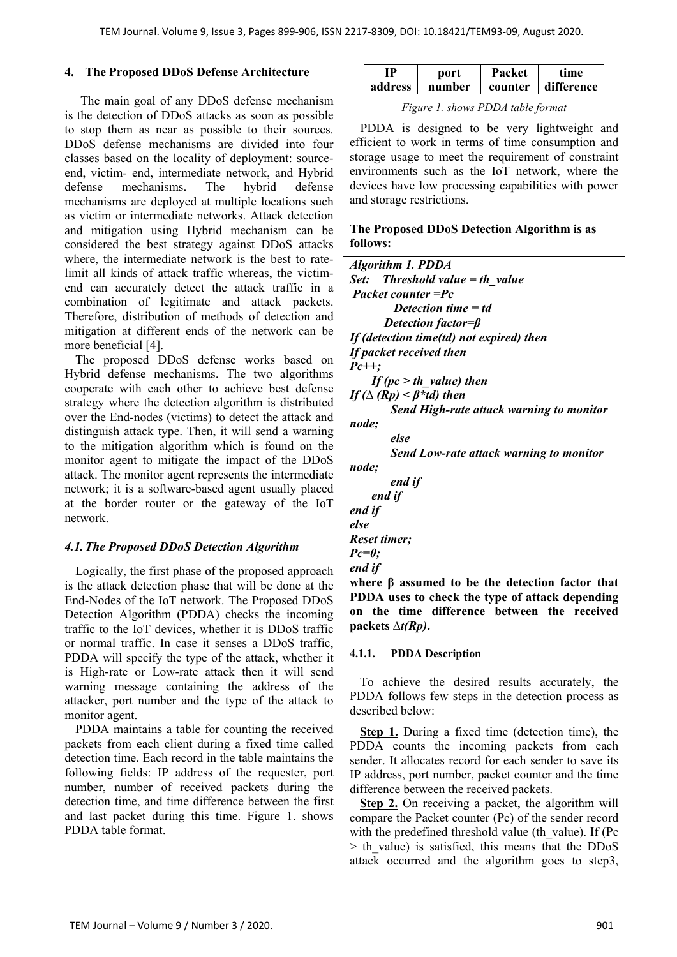### **4. The Proposed DDoS Defense Architecture**

 The main goal of any DDoS defense mechanism is the detection of DDoS attacks as soon as possible to stop them as near as possible to their sources. DDoS defense mechanisms are divided into four classes based on the locality of deployment: sourceend, victim- end, intermediate network, and Hybrid defense mechanisms. The hybrid defense mechanisms are deployed at multiple locations such as victim or intermediate networks. Attack detection and mitigation using Hybrid mechanism can be considered the best strategy against DDoS attacks where, the intermediate network is the best to ratelimit all kinds of attack traffic whereas, the victimend can accurately detect the attack traffic in a combination of legitimate and attack packets. Therefore, distribution of methods of detection and mitigation at different ends of the network can be more beneficial [4].

The proposed DDoS defense works based on Hybrid defense mechanisms. The two algorithms cooperate with each other to achieve best defense strategy where the detection algorithm is distributed over the End-nodes (victims) to detect the attack and distinguish attack type. Then, it will send a warning to the mitigation algorithm which is found on the monitor agent to mitigate the impact of the DDoS attack. The monitor agent represents the intermediate network; it is a software-based agent usually placed at the border router or the gateway of the IoT network.

# *4.1.The Proposed DDoS Detection Algorithm*

Logically, the first phase of the proposed approach is the attack detection phase that will be done at the End-Nodes of the IoT network. The Proposed DDoS Detection Algorithm (PDDA) checks the incoming traffic to the IoT devices, whether it is DDoS traffic or normal traffic. In case it senses a DDoS traffic, PDDA will specify the type of the attack, whether it is High-rate or Low-rate attack then it will send warning message containing the address of the attacker, port number and the type of the attack to monitor agent.

PDDA maintains a table for counting the received packets from each client during a fixed time called detection time. Each record in the table maintains the following fields: IP address of the requester, port number, number of received packets during the detection time, and time difference between the first and last packet during this time. Figure 1. shows PDDA table format.

| ₽       | port   | Packet  | time       |
|---------|--------|---------|------------|
| address | number | counter | difference |

*Figure 1. shows PDDA table format* 

PDDA is designed to be very lightweight and efficient to work in terms of time consumption and storage usage to meet the requirement of constraint environments such as the IoT network, where the devices have low processing capabilities with power and storage restrictions.

# **The Proposed DDoS Detection Algorithm is as follows:**

| <b>Algorithm 1. PDDA</b>                                   |
|------------------------------------------------------------|
| <i>Set:</i> Threshold value $=$ th value                   |
| Packet counter = Pc                                        |
| Detection time $=$ td                                      |
| Detection factor= $\beta$                                  |
| If (detection time(td) not expired) then                   |
| If packet received then                                    |
| $Pc++$ :                                                   |
| If $(pc > th$ value) then                                  |
| If ( $\Delta$ (Rp) < $\beta$ *td) then                     |
| <b>Send High-rate attack warning to monitor</b>            |
| node;                                                      |
| else                                                       |
| Send Low-rate attack warning to monitor                    |
| node;                                                      |
| end if                                                     |
| end if                                                     |
| end if                                                     |
| else                                                       |
| Reset timer;                                               |
| $Pc=0$ ;                                                   |
| end if                                                     |
| $\mathbf{r}$<br>$\mathbf{L}$<br>л.<br>$\blacksquare$<br>л. |

**where β assumed to be the detection factor that PDDA uses to check the type of attack depending on the time difference between the received packets** *∆t(Rp)***.** 

#### **4.1.1. PDDA Description**

To achieve the desired results accurately, the PDDA follows few steps in the detection process as described below:

**Step 1.** During a fixed time (detection time), the PDDA counts the incoming packets from each sender. It allocates record for each sender to save its IP address, port number, packet counter and the time difference between the received packets.

**Step 2.** On receiving a packet, the algorithm will compare the Packet counter (Pc) of the sender record with the predefined threshold value (th\_value). If (Pc)  $>$  th value) is satisfied, this means that the DDoS attack occurred and the algorithm goes to step3,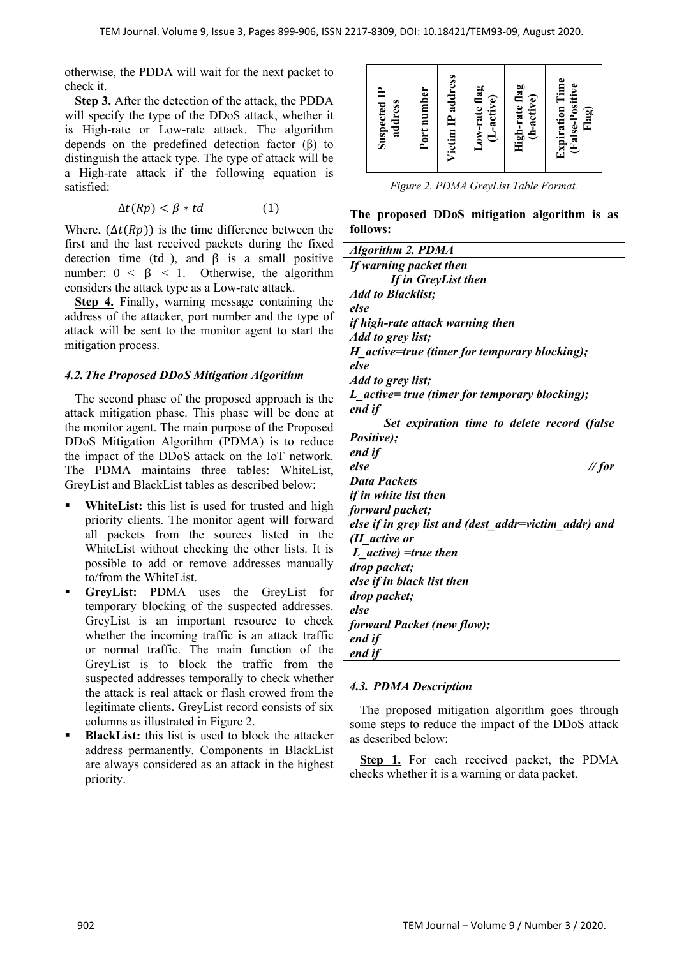otherwise, the PDDA will wait for the next packet to check it.

**Step 3.** After the detection of the attack, the PDDA will specify the type of the DDoS attack, whether it is High-rate or Low-rate attack. The algorithm depends on the predefined detection factor (β) to distinguish the attack type. The type of attack will be a High-rate attack if the following equation is satisfied:

$$
\Delta t(Rp) < \beta * td \tag{1}
$$

Where,  $(\Delta t(Rp))$  is the time difference between the first and the last received packets during the fixed detection time (td), and  $\beta$  is a small positive number:  $0 < \beta < 1$ . Otherwise, the algorithm considers the attack type as a Low-rate attack.

**Step 4.** Finally, warning message containing the address of the attacker, port number and the type of attack will be sent to the monitor agent to start the mitigation process.

#### *4.2.The Proposed DDoS Mitigation Algorithm*

The second phase of the proposed approach is the attack mitigation phase. This phase will be done at the monitor agent. The main purpose of the Proposed DDoS Mitigation Algorithm (PDMA) is to reduce the impact of the DDoS attack on the IoT network. The PDMA maintains three tables: WhiteList, GreyList and BlackList tables as described below:

- **WhiteList:** this list is used for trusted and high priority clients. The monitor agent will forward all packets from the sources listed in the WhiteList without checking the other lists. It is possible to add or remove addresses manually to/from the WhiteList.
- **GreyList:** PDMA uses the GreyList for temporary blocking of the suspected addresses. GreyList is an important resource to check whether the incoming traffic is an attack traffic or normal traffic. The main function of the GreyList is to block the traffic from the suspected addresses temporally to check whether the attack is real attack or flash crowed from the legitimate clients. GreyList record consists of six columns as illustrated in Figure 2.
- **BlackList:** this list is used to block the attacker address permanently. Components in BlackList are always considered as an attack in the highest priority.

| Victim IP address<br>Port number<br><b>Suspected IP</b><br>address | Low-rate flag<br>(L-active) | High-rate flag<br>(h-active) | <b>Expiration Time</b><br>(False-Positive<br>Flag) |
|--------------------------------------------------------------------|-----------------------------|------------------------------|----------------------------------------------------|
|--------------------------------------------------------------------|-----------------------------|------------------------------|----------------------------------------------------|

*Figure 2. PDMA GreyList Table Format.* 

**The proposed DDoS mitigation algorithm is as follows:** 

| <b>Algorithm 2. PDMA</b>                             |
|------------------------------------------------------|
| If warning packet then                               |
| If in GreyList then                                  |
| <b>Add to Blacklist;</b>                             |
| else                                                 |
| if high-rate attack warning then                     |
| Add to grey list;                                    |
| H_active=true (timer for temporary blocking);        |
| else                                                 |
| Add to grey list;                                    |
| L active= true (timer for temporary blocking);       |
| end if                                               |
| Set expiration time to delete record (false          |
| <i>Positive</i> );                                   |
| end if                                               |
| else<br>$\mathcal{N}$ for                            |
| <b>Data Packets</b>                                  |
| if in white list then                                |
| forward packet;                                      |
| else if in grey list and (dest addr=victim addr) and |
| $(H$ active or                                       |
| L active) = true then                                |
| drop packet;                                         |
| else if in black list then                           |
| drop packet;                                         |
| else                                                 |
| forward Packet (new flow);                           |
| end if                                               |
| end if                                               |

#### *4.3. PDMA Description*

The proposed mitigation algorithm goes through some steps to reduce the impact of the DDoS attack as described below:

**Step 1.** For each received packet, the PDMA checks whether it is a warning or data packet.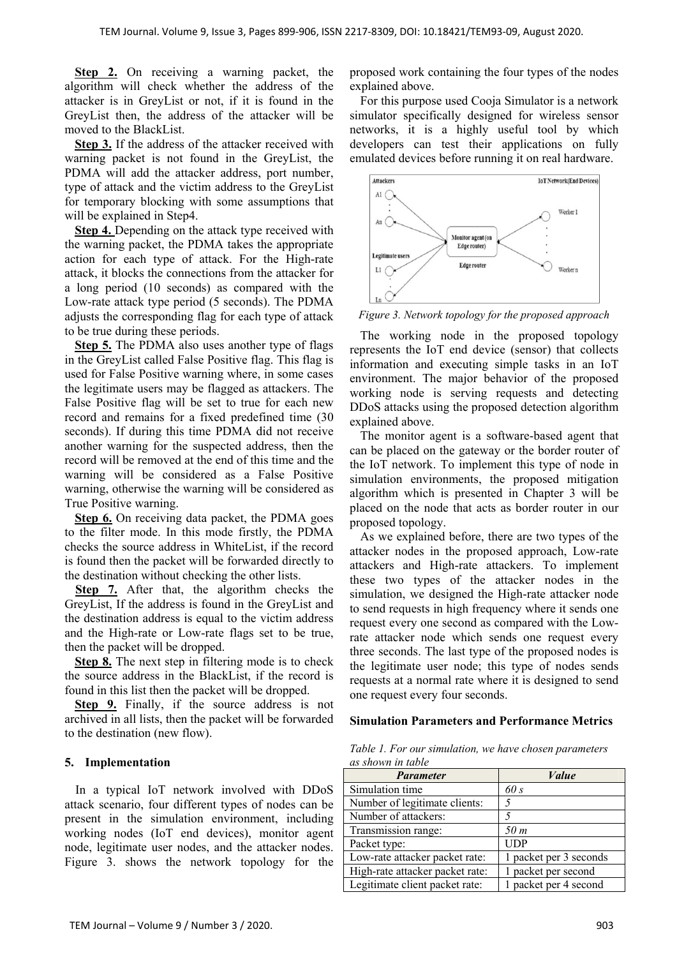**Step 2.** On receiving a warning packet, the algorithm will check whether the address of the attacker is in GreyList or not, if it is found in the GreyList then, the address of the attacker will be moved to the BlackList.

**Step 3.** If the address of the attacker received with warning packet is not found in the GreyList, the PDMA will add the attacker address, port number, type of attack and the victim address to the GreyList for temporary blocking with some assumptions that will be explained in Step4.

**Step 4.** Depending on the attack type received with the warning packet, the PDMA takes the appropriate action for each type of attack. For the High-rate attack, it blocks the connections from the attacker for a long period (10 seconds) as compared with the Low-rate attack type period (5 seconds). The PDMA adjusts the corresponding flag for each type of attack to be true during these periods.

**Step 5.** The PDMA also uses another type of flags in the GreyList called False Positive flag. This flag is used for False Positive warning where, in some cases the legitimate users may be flagged as attackers. The False Positive flag will be set to true for each new record and remains for a fixed predefined time (30 seconds). If during this time PDMA did not receive another warning for the suspected address, then the record will be removed at the end of this time and the warning will be considered as a False Positive warning, otherwise the warning will be considered as True Positive warning.

**Step 6.** On receiving data packet, the PDMA goes to the filter mode. In this mode firstly, the PDMA checks the source address in WhiteList, if the record is found then the packet will be forwarded directly to the destination without checking the other lists.

**Step 7.** After that, the algorithm checks the GreyList, If the address is found in the GreyList and the destination address is equal to the victim address and the High-rate or Low-rate flags set to be true, then the packet will be dropped.

**Step 8.** The next step in filtering mode is to check the source address in the BlackList, if the record is found in this list then the packet will be dropped.

**Step 9.** Finally, if the source address is not archived in all lists, then the packet will be forwarded to the destination (new flow).

#### **5. Implementation**

In a typical IoT network involved with DDoS attack scenario, four different types of nodes can be present in the simulation environment, including working nodes (IoT end devices), monitor agent node, legitimate user nodes, and the attacker nodes. Figure 3. shows the network topology for the

proposed work containing the four types of the nodes explained above.

For this purpose used Cooja Simulator is a network simulator specifically designed for wireless sensor networks, it is a highly useful tool by which developers can test their applications on fully emulated devices before running it on real hardware.



*Figure 3. Network topology for the proposed approach* 

The working node in the proposed topology represents the IoT end device (sensor) that collects information and executing simple tasks in an IoT environment. The major behavior of the proposed working node is serving requests and detecting DDoS attacks using the proposed detection algorithm explained above.

The monitor agent is a software-based agent that can be placed on the gateway or the border router of the IoT network. To implement this type of node in simulation environments, the proposed mitigation algorithm which is presented in Chapter 3 will be placed on the node that acts as border router in our proposed topology.

As we explained before, there are two types of the attacker nodes in the proposed approach, Low-rate attackers and High-rate attackers. To implement these two types of the attacker nodes in the simulation, we designed the High-rate attacker node to send requests in high frequency where it sends one request every one second as compared with the Lowrate attacker node which sends one request every three seconds. The last type of the proposed nodes is the legitimate user node; this type of nodes sends requests at a normal rate where it is designed to send one request every four seconds.

#### **Simulation Parameters and Performance Metrics**

*Table 1. For our simulation, we have chosen parameters as shown in table* 

| <b>Parameter</b>                | Value                  |  |  |
|---------------------------------|------------------------|--|--|
| Simulation time                 | 60 s                   |  |  |
| Number of legitimate clients:   | 5                      |  |  |
| Number of attackers:            |                        |  |  |
| Transmission range:             | 50 m                   |  |  |
| Packet type:                    | <b>UDP</b>             |  |  |
| Low-rate attacker packet rate:  | 1 packet per 3 seconds |  |  |
| High-rate attacker packet rate: | 1 packet per second    |  |  |
| Legitimate client packet rate:  | 1 packet per 4 second  |  |  |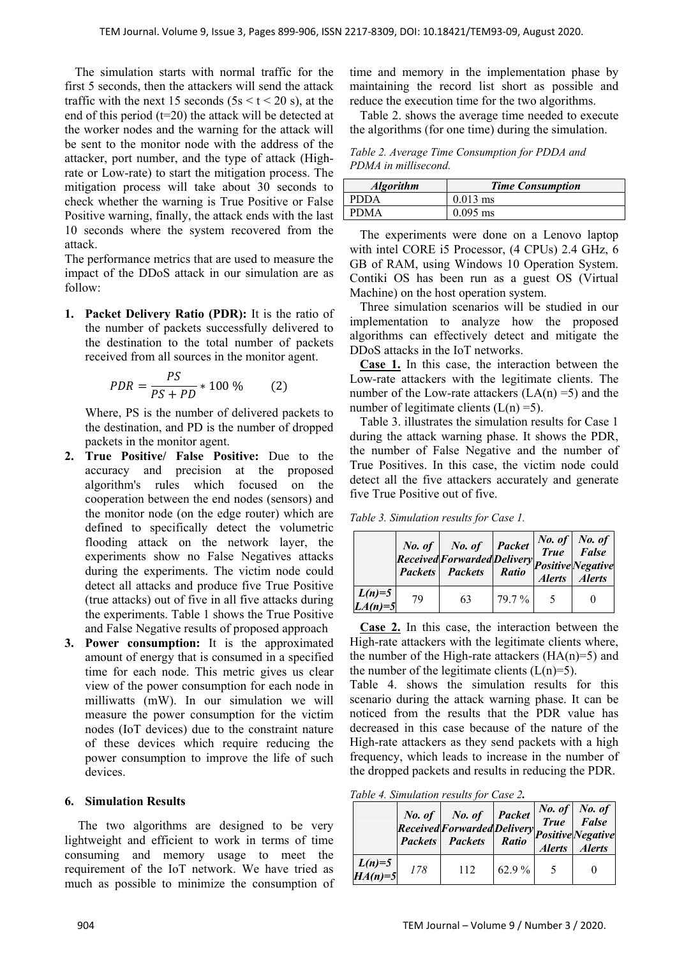The simulation starts with normal traffic for the first 5 seconds, then the attackers will send the attack traffic with the next 15 seconds ( $5s < t < 20$  s), at the end of this period (t=20) the attack will be detected at the worker nodes and the warning for the attack will be sent to the monitor node with the address of the attacker, port number, and the type of attack (Highrate or Low-rate) to start the mitigation process. The mitigation process will take about 30 seconds to check whether the warning is True Positive or False Positive warning, finally, the attack ends with the last 10 seconds where the system recovered from the attack.

The performance metrics that are used to measure the impact of the DDoS attack in our simulation are as follow:

**1. Packet Delivery Ratio (PDR):** It is the ratio of the number of packets successfully delivered to the destination to the total number of packets received from all sources in the monitor agent.

$$
PDR = \frac{PS}{PS + PD} * 100\,\%
$$
 (2)

Where, PS is the number of delivered packets to the destination, and PD is the number of dropped packets in the monitor agent.

- **2. True Positive/ False Positive:** Due to the accuracy and precision at the proposed algorithm's rules which focused on the cooperation between the end nodes (sensors) and the monitor node (on the edge router) which are defined to specifically detect the volumetric flooding attack on the network layer, the experiments show no False Negatives attacks during the experiments. The victim node could detect all attacks and produce five True Positive (true attacks) out of five in all five attacks during the experiments. Table 1 shows the True Positive and False Negative results of proposed approach
- **3. Power consumption:** It is the approximated amount of energy that is consumed in a specified time for each node. This metric gives us clear view of the power consumption for each node in milliwatts (mW). In our simulation we will measure the power consumption for the victim nodes (IoT devices) due to the constraint nature of these devices which require reducing the power consumption to improve the life of such devices.

## **6. Simulation Results**

 The two algorithms are designed to be very lightweight and efficient to work in terms of time consuming and memory usage to meet the requirement of the IoT network. We have tried as much as possible to minimize the consumption of time and memory in the implementation phase by maintaining the record list short as possible and reduce the execution time for the two algorithms.

Table 2. shows the average time needed to execute the algorithms (for one time) during the simulation.

*Table 2. Average Time Consumption for PDDA and PDMA in millisecond.* 

| <b>Algorithm</b> | <b>Time Consumption</b> |  |  |
|------------------|-------------------------|--|--|
| <b>PDDA</b>      | $0.013$ ms              |  |  |
| <b>PDMA</b>      | $0.095$ ms              |  |  |

The experiments were done on a Lenovo laptop with intel CORE i5 Processor, (4 CPUs) 2.4 GHz, 6 GB of RAM, using Windows 10 Operation System. Contiki OS has been run as a guest OS (Virtual Machine) on the host operation system.

Three simulation scenarios will be studied in our implementation to analyze how the proposed algorithms can effectively detect and mitigate the DDoS attacks in the IoT networks.

**Case 1.** In this case, the interaction between the Low-rate attackers with the legitimate clients. The number of the Low-rate attackers  $(LA(n) = 5)$  and the number of legitimate clients  $(L(n) = 5)$ .

Table 3. illustrates the simulation results for Case 1 during the attack warning phase. It shows the PDR, the number of False Negative and the number of True Positives. In this case, the victim node could detect all the five attackers accurately and generate five True Positive out of five.

*Table 3. Simulation results for Case 1.* 

|                       |    | No. of $\begin{array}{ c c } \hline \text{No. of} & \text{Packet} \end{array}$<br>No. of Ivo. of Luckey True Faise<br>Received Forwarded Delivery Positive Negative<br><b>Packets</b> Packets Ratio |        | $\begin{array}{ c c } \hline No. of \\ True & False \\ \hline \end{array}$<br>Alerts Alerts |
|-----------------------|----|-----------------------------------------------------------------------------------------------------------------------------------------------------------------------------------------------------|--------|---------------------------------------------------------------------------------------------|
| $L(n)=5$<br>$LA(n)=5$ | 79 | 63                                                                                                                                                                                                  | 79.7 % |                                                                                             |

**Case 2.** In this case, the interaction between the High-rate attackers with the legitimate clients where, the number of the High-rate attackers  $(HA(n)=5)$  and the number of the legitimate clients  $(L(n)=5)$ .

Table 4. shows the simulation results for this scenario during the attack warning phase. It can be noticed from the results that the PDR value has decreased in this case because of the nature of the High-rate attackers as they send packets with a high frequency, which leads to increase in the number of the dropped packets and results in reducing the PDR.

*Table 4. Simulation results for Case 2.* 

|                       |     | No. of No. of Packet True False<br>Received Forwarded Delivery Positive Negative<br><b>Packets</b> Packets Ratio |          | Alerts Alerts |
|-----------------------|-----|------------------------------------------------------------------------------------------------------------------|----------|---------------|
| $L(n)=5$<br>$HA(n)=5$ | 178 | 112                                                                                                              | 62.9 $%$ |               |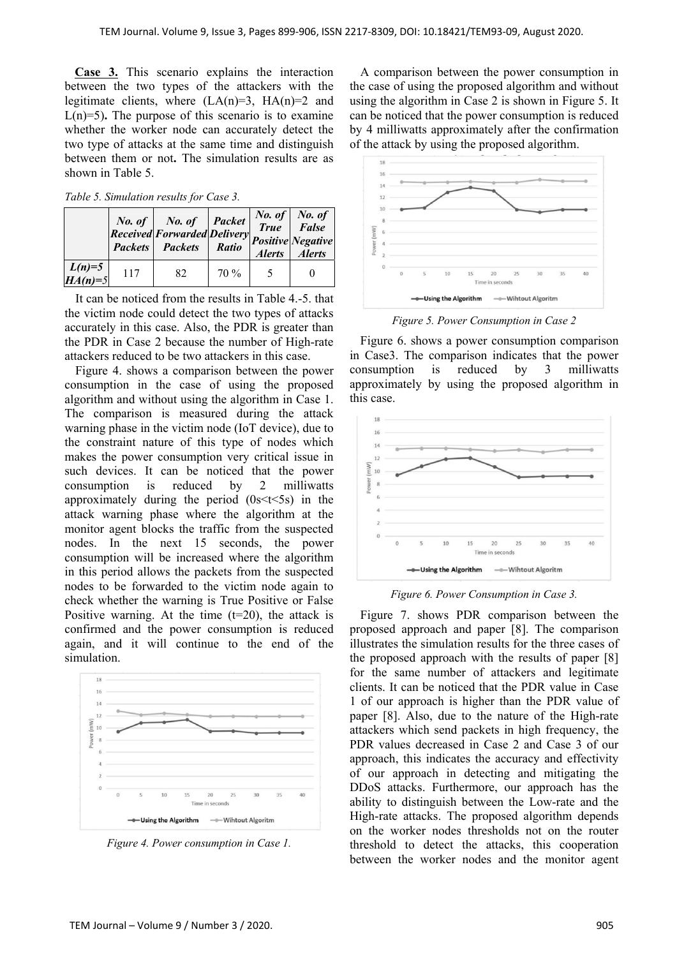**Case 3.** This scenario explains the interaction between the two types of the attackers with the legitimate clients, where  $(LA(n)=3, HA(n)=2$  and  $L(n)=5$ ). The purpose of this scenario is to examine whether the worker node can accurately detect the two type of attacks at the same time and distinguish between them or not**.** The simulation results are as shown in Table 5.

*Table 5. Simulation results for Case 3.* 

|                       |     | No. of No. of Packet<br>Received Forwarded Delivery Positive Negative<br><b>Packets</b> Packets | <b>Ratio</b> | <i>No. of No. of</i><br><i>True False</i><br>Alerts Alerts |
|-----------------------|-----|-------------------------------------------------------------------------------------------------|--------------|------------------------------------------------------------|
| $L(n)=5$<br>$HA(n)=5$ | 117 | 82                                                                                              | $70\%$       |                                                            |

It can be noticed from the results in Table 4.-5. that the victim node could detect the two types of attacks accurately in this case. Also, the PDR is greater than the PDR in Case 2 because the number of High-rate attackers reduced to be two attackers in this case.

Figure 4. shows a comparison between the power consumption in the case of using the proposed algorithm and without using the algorithm in Case 1. The comparison is measured during the attack warning phase in the victim node (IoT device), due to the constraint nature of this type of nodes which makes the power consumption very critical issue in such devices. It can be noticed that the power consumption is reduced by 2 milliwatts approximately during the period  $(0s< t< 5s)$  in the attack warning phase where the algorithm at the monitor agent blocks the traffic from the suspected nodes. In the next 15 seconds, the power consumption will be increased where the algorithm in this period allows the packets from the suspected nodes to be forwarded to the victim node again to check whether the warning is True Positive or False Positive warning. At the time  $(t=20)$ , the attack is confirmed and the power consumption is reduced again, and it will continue to the end of the simulation.



*Figure 4. Power consumption in Case 1.* 

A comparison between the power consumption in the case of using the proposed algorithm and without using the algorithm in Case 2 is shown in Figure 5. It can be noticed that the power consumption is reduced by 4 milliwatts approximately after the confirmation of the attack by using the proposed algorithm.



*Figure 5. Power Consumption in Case 2* 

Figure 6. shows a power consumption comparison in Case3. The comparison indicates that the power consumption is reduced by 3 milliwatts approximately by using the proposed algorithm in this case.



*Figure 6. Power Consumption in Case 3.* 

Figure 7. shows PDR comparison between the proposed approach and paper [8]. The comparison illustrates the simulation results for the three cases of the proposed approach with the results of paper [8] for the same number of attackers and legitimate clients. It can be noticed that the PDR value in Case 1 of our approach is higher than the PDR value of paper [8]. Also, due to the nature of the High-rate attackers which send packets in high frequency, the PDR values decreased in Case 2 and Case 3 of our approach, this indicates the accuracy and effectivity of our approach in detecting and mitigating the DDoS attacks. Furthermore, our approach has the ability to distinguish between the Low-rate and the High-rate attacks. The proposed algorithm depends on the worker nodes thresholds not on the router threshold to detect the attacks, this cooperation between the worker nodes and the monitor agent